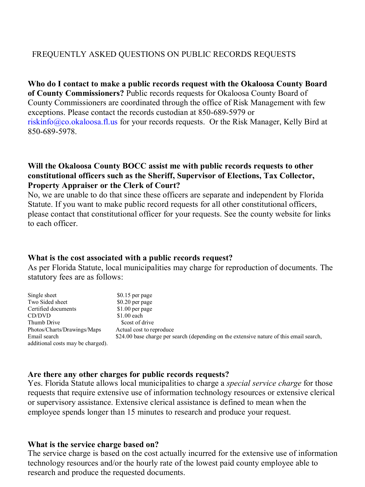# FREQUENTLY ASKED QUESTIONS ON PUBLIC RECORDS REQUESTS

 **of County Commissioners?** Public records requests for Okaloosa County Board of [riskinfo@co.okaloosa.fl.us](mailto:riskinfo@co.okaloosa.fl.us) for your records requests. Or the Risk Manager, Kelly Bird at **Who do I contact to make a public records request with the Okaloosa County Board**  County Commissioners are coordinated through the office of Risk Management with few exceptions. Please contact the records custodian at 850-689-5979 or 850-689-5978.

### **Will the Okaloosa County BOCC assist me with public records requests to other constitutional officers such as the Sheriff, Supervisor of Elections, Tax Collector, Property Appraiser or the Clerk of Court?**

 Statute. If you want to make public record requests for all other constitutional officers, please contact that constitutional officer for your requests. See the county website for links No, we are unable to do that since these officers are separate and independent by Florida to each officer.

#### **What is the cost associated with a public records request?**

 As per Florida Statute, local municipalities may charge for reproduction of documents. The statutory fees are as follows:

| Single sheet                      | $$0.15$ per page                                                                        |
|-----------------------------------|-----------------------------------------------------------------------------------------|
| Two Sided sheet                   | $$0.20$ per page                                                                        |
| Certified documents               | $$1.00$ per page                                                                        |
| CD/DVD                            | $$1.00$ each                                                                            |
| Thumb Drive                       | Scost of drive                                                                          |
| Photos/Charts/Drawings/Maps       | Actual cost to reproduce                                                                |
| Email search                      | \$24.00 base charge per search (depending on the extensive nature of this email search, |
| additional costs may be charged). |                                                                                         |

#### **Are there any other charges for public records requests?**

 Yes. Florida Statute allows local municipalities to charge a *special service charge* for those requests that require extensive use of information technology resources or extensive clerical or supervisory assistance. Extensive clerical assistance is defined to mean when the employee spends longer than 15 minutes to research and produce your request.

#### **What is the service charge based on?**

 The service charge is based on the cost actually incurred for the extensive use of information technology resources and/or the hourly rate of the lowest paid county employee able to research and produce the requested documents.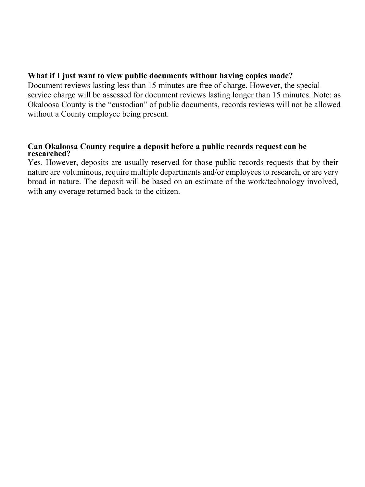## **What if I just want to view public documents without having copies made?**

 Document reviews lasting less than 15 minutes are free of charge. However, the special service charge will be assessed for document reviews lasting longer than 15 minutes. Note: as Okaloosa County is the "custodian" of public documents, records reviews will not be allowed without a County employee being present.

# **Can Okaloosa County require a deposit before a public records request can be researched?**

 broad in nature. The deposit will be based on an estimate of the work/technology involved, Yes. However, deposits are usually reserved for those public records requests that by their nature are voluminous, require multiple departments and/or employees to research, or are very with any overage returned back to the citizen.